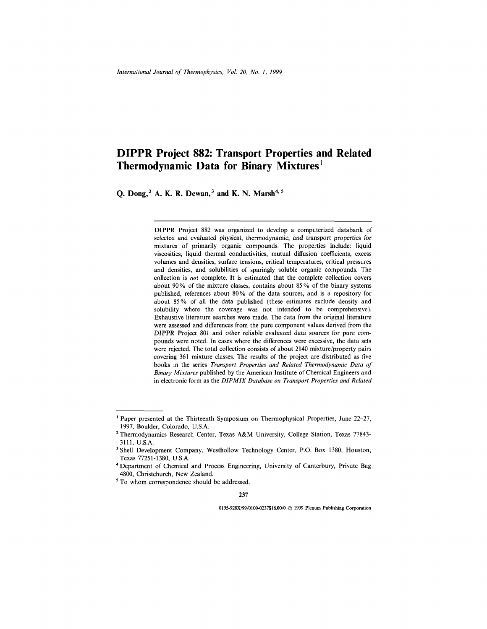# **DIPPR Project 882: Transport Properties and Related Thermodynamic Data for Binary Mixtures1**

**Q. Dong,<sup>2</sup> A. K. R. Dewan,<sup>3</sup> and K. N. Marsh<sup>4, 5</sup>** 

DIPPR Project 882 was organized to develop a computerized databank of selected and evaluated physical, thermodynamic, and transport properties for mixtures of primarily organic compounds. The properties include: liquid viscosities, liquid thermal conductivities, mutual diffusion coefficients, excess volumes and densities, surface tensions, critical temperatures, critical pressures and densities, and solubilities of sparingly soluble organic compounds. The collection is *not* complete. It is estimated that the complete collection covers about 90% of the mixture classes, contains about 85% of the binary systems published, references about 80% of the data sources, and is a repository for about 85% of all the data published (these estimates exclude density and solubility where the coverage was not intended to be comprehensive). Exhaustive literature searches were made. The data from the original literature were assessed and differences from the pure component values derived from the DIPPR Project 801 and other reliable evaluated data sources for pure compounds were noted. In cases where the differences were excessive, the data sets were rejected. The total collection consists of about 2140 mixture/property pairs covering 361 mixture classes. The results of the project are distributed as five books in the series *Transport Properties and Related Thermodynamic Data of Binary Mixtures* published by the American Institute of Chemical Engineers and in electronic form as the *DIPMIX Database on Transport Properties and Related*

237

0195-928X/99/0100-0237\$16.00/0 © 1999 Plenum Publishing Corporation

<sup>&</sup>lt;sup>1</sup> Paper presented at the Thirteenth Symposium on Thermophysical Properties, June 22-27, 1997, Boulder, Colorado, U.S.A.

<sup>2</sup> Thermodynamics Research Center, Texas A&M University, College Station, Texas 77843- 3111, U.S.A.

<sup>3</sup> Shell Development Company, Westhollow Technology Center, P.O. Box 1380, Houston, Texas 77251-1380, U.S.A.

<sup>4</sup> Department of Chemical and Process Engineering, University of Canterbury, Private Bag 4800, Christchurch, New Zealand.

<sup>5</sup> To whom correspondence should be addressed.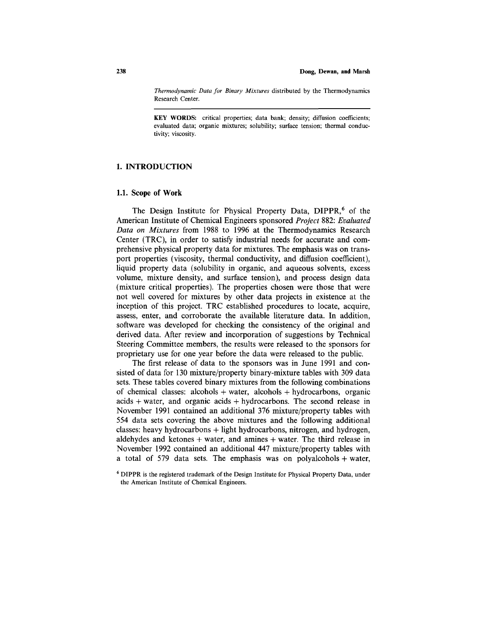*Thermodynamic Data for Binary Mixtures* distributed by the Thermodynamics Research Center.

**KEY WORDS:** critical properties; data bank; density; diffusion coefficients; evaluated data; organic mixtures; solubility; surface tension; thermal conductivity; viscosity.

# **1. INTRODUCTION**

### 1.1. Scope of Work

The Design Institute for Physical Property Data, DIPPR,<sup>6</sup> of the American Institute of Chemical Engineers sponsored *Project* 882: *Evaluated Data on Mixtures* from 1988 to 1996 at the Thermodynamics Research Center (TRC), in order to satisfy industrial needs for accurate and comprehensive physical property data for mixtures. The emphasis was on transport properties (viscosity, thermal conductivity, and diffusion coefficient), liquid property data (solubility in organic, and aqueous solvents, excess volume, mixture density, and surface tension), and process design data (mixture critical properties). The properties chosen were those that were not well covered for mixtures by other data projects in existence at the inception of this project. TRC established procedures to locate, acquire, assess, enter, and corroborate the available literature data. In addition, software was developed for checking the consistency of the original and derived data. After review and incorporation of suggestions by Technical Steering Committee members, the results were released to the sponsors for proprietary use for one year before the data were released to the public.

The first release of data to the sponsors was in June 1991 and consisted of data for 130 mixture/property binary-mixture tables with 309 data sets. These tables covered binary mixtures from the following combinations of chemical classes: alcohols + water, alcohols + hydrocarbons, organic  $acids + water$ , and organic  $acids + hydrocarbons$ . The second release in November 1991 contained an additional 376 mixture/property tables with 554 data sets covering the above mixtures and the following additional classes: heavy hydrocarbons + light hydrocarbons, nitrogen, and hydrogen, aldehydes and ketones + water, and amines + water. The third release in November 1992 contained an additional 447 mixture/property tables with a total of 579 data sets. The emphasis was on polyalcohols + water,

<sup>&</sup>lt;sup>6</sup> DIPPR is the registered trademark of the Design Institute for Physical Property Data, under the American Institute of Chemical Engineers.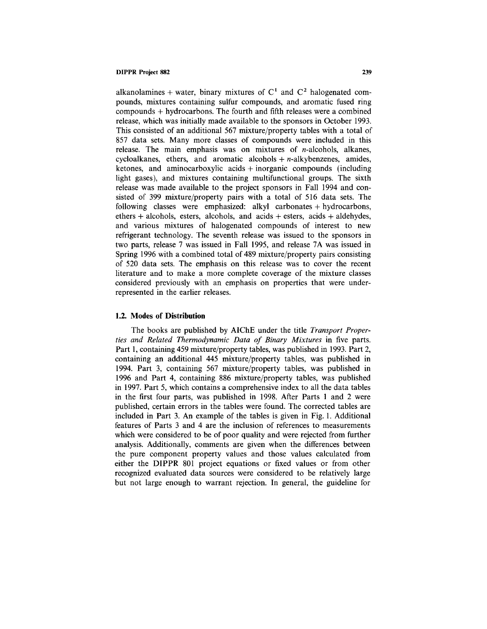alkanolamines + water, binary mixtures of  $C<sup>1</sup>$  and  $C<sup>2</sup>$  halogenated compounds, mixtures containing sulfur compounds, and aromatic fused ring compounds + hydrocarbons. The fourth and fifth releases were a combined release, which was initially made available to the sponsors in October 1993. This consisted of an additional 567 mixture/property tables with a total of 857 data sets. Many more classes of compounds were included in this release. The main emphasis was on mixtures of  $n$ -alcohols, alkanes, cycloalkanes, ethers, and aromatic alcohols  $+ n$ -alkybenzenes, amides, ketones, and aminocarboxylic acids  $+$  inorganic compounds (including light gases), and mixtures containing multifunctional groups. The sixth release was made available to the project sponsors in Fall 1994 and consisted of 399 mixture/property pairs with a total of 516 data sets. The following classes were emphasized: alkyl carbonates + hydrocarbons, ethers  $+$  alcohols, esters, alcohols, and acids  $+$  esters, acids  $+$  aldehydes, and various mixtures of halogenated compounds of interest to new refrigerant technology. The seventh release was issued to the sponsors in two parts, release 7 was issued in Fall 1995, and release 7A was issued in Spring 1996 with a combined total of 489 mixture/property pairs consisting of 520 data sets. The emphasis on this release was to cover the recent literature and to make a more complete coverage of the mixture classes considered previously with an emphasis on properties that were underrepresented in the earlier releases.

# **1.2. Modes of Distribution**

The books are published by AIChE under the title *Transport Properties and Related Thermodynamic Data of Binary Mixtures* in five parts. Part 1, containing 459 mixture/property tables, was published in 1993. Part 2, containing an additional 445 mixture/property tables, was published in 1994. Part 3, containing 567 mixture/property tables, was published in 1996 and Part 4, containing 886 mixture/property tables, was published in 1997. Part 5, which contains a comprehensive index to all the data tables in the first four parts, was published in 1998. After Parts 1 and 2 were published, certain errors in the tables were found. The corrected tables are included in Part 3. An example of the tables is given in Fig. 1. Additional features of Parts 3 and 4 are the inclusion of references to measurements which were considered to be of poor quality and were rejected from further analysis. Additionally, comments are given when the differences between the pure component property values and those values calculated from either the DIPPR 801 project equations or fixed values or from other recognized evaluated data sources were considered to be relatively large but not large enough to warrant rejection. In general, the guideline for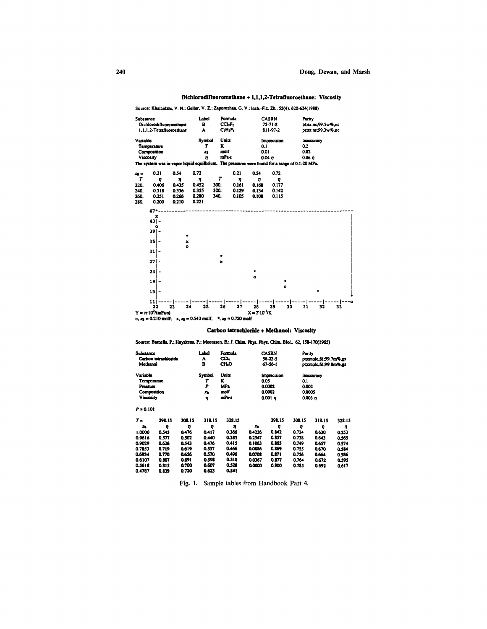|  | Dichlorodifluoromethane $+1,1,1,2$ -Tetrafluoroethane: Viscosity |  |
|--|------------------------------------------------------------------|--|
|--|------------------------------------------------------------------|--|

Source: Khalaidzhi, V. N.; Geller, V. Z.; Zaporozhan, G. V.; Inzh.-Fiz. Zh., 55(4), 620-624(1988)

| Substance                 |                                                               |           | Label  |       | Formula     |                          | <b>CASRN</b>                                                                                   | Purity             |    |  |
|---------------------------|---------------------------------------------------------------|-----------|--------|-------|-------------|--------------------------|------------------------------------------------------------------------------------------------|--------------------|----|--|
|                           | Dichlorodifluoromethane                                       |           | в      |       | $CCI_2F_2$  |                          | $75 - 71 - 8$                                                                                  | pt:sx:ns:99.5w%.nc |    |  |
| 1.1.1.2-Tetrafluoroethane |                                                               |           | A      |       | $C_2H_2F_4$ | 811-97-2                 |                                                                                                | pt:sx:ns:99.3w%.nc |    |  |
| Variable                  |                                                               |           | Symbol | Units |             |                          | <b>Imprecision</b>                                                                             | Inaccuracy         |    |  |
|                           | <b>Temperature</b>                                            |           | T      | ĸ     |             | 0.1                      |                                                                                                | 0.2                |    |  |
|                           | Composition                                                   |           | XB.    | molf  |             | 0.01                     |                                                                                                | 0.02               |    |  |
|                           | Viscosity                                                     |           | η      | mPa-s |             | $0.04 \; \eta$           |                                                                                                | 0.06 n             |    |  |
|                           |                                                               |           |        |       |             |                          | The system was in vapor liquid equilbrium. The pressures were found for a range of 0.1-20 MPa. |                    |    |  |
| $x_0 =$                   | 0.21                                                          | 0.54      | 0.72   |       | 0.21        | 0.54                     | 0.72                                                                                           |                    |    |  |
| т                         | η                                                             | η         | η      | T     | η           | η                        | η                                                                                              |                    |    |  |
| 220.                      | 0.406                                                         | 0.435     | 0.452  | 300.  | 0.161       | 0.168                    | 0.177                                                                                          |                    |    |  |
| 240.                      | 0.318                                                         | 0.336     | 0.355  | 320.  | 0.129       | 0.134                    | 0.142                                                                                          |                    |    |  |
| 260.                      | 0.251                                                         | 0.266     | 0.280  | 340.  | 0.105       | 0.108                    | 0.115                                                                                          |                    |    |  |
| 280.                      | 0.200                                                         | 0.210     | 0.221  |       |             |                          |                                                                                                |                    |    |  |
|                           | 470                                                           |           |        |       |             |                          |                                                                                                |                    |    |  |
|                           | ×<br>$431 -$                                                  |           |        |       |             |                          |                                                                                                |                    |    |  |
|                           | ۰                                                             |           |        |       |             |                          |                                                                                                |                    |    |  |
|                           | $39 -$                                                        | ٠         |        |       |             |                          |                                                                                                |                    |    |  |
|                           | 35 I –                                                        | x         |        |       |             |                          |                                                                                                |                    |    |  |
|                           | 31 I –                                                        | $\bullet$ |        |       |             |                          |                                                                                                |                    |    |  |
|                           |                                                               |           |        | ٠     |             |                          |                                                                                                |                    |    |  |
|                           | 27 I -                                                        |           |        | ×     |             |                          |                                                                                                |                    |    |  |
|                           | - ا 23                                                        |           |        |       |             |                          |                                                                                                |                    |    |  |
|                           | - ا 19                                                        |           |        |       |             | ۰                        |                                                                                                |                    |    |  |
|                           |                                                               |           |        |       |             |                          | ۰                                                                                              |                    |    |  |
|                           | $15$ .                                                        |           |        |       |             |                          |                                                                                                |                    |    |  |
|                           | 11                                                            |           |        |       |             |                          |                                                                                                |                    |    |  |
|                           | 22                                                            | 23<br>24  | 25     | 26    | 27          | 28                       | 30<br>29                                                                                       | 31<br>32           | 33 |  |
|                           | $Y = \pi \cdot 10^2 / (mPa \cdot s)$                          |           |        |       |             | $X = T \cdot 10^{-1}$ /K |                                                                                                |                    |    |  |
|                           | o, $x_0 = 0.210$ molf; $x_0 = 0.540$ molf; $x_0 = 0.720$ molf |           |        |       |             |                          |                                                                                                |                    |    |  |

# Carbon tetrachloride + Methanol: Viscosity

Source: Bamelis, P.; Huyskens, P.; Meeussen, E.; J. Chim. Phys. Phys. Chim. Biol., 62, 158-170(1965)

| Substance<br>Carbon tetrachioride<br>Methanol                   |                | أعطعـآ<br>Formula<br>CCL<br>A<br>в<br><b>CH<sub>2</sub>O</b> |                                                                                          |                | CASRN<br>$56 - 23 - 5$<br>67-56-1               |              | Purity<br>pt;cm;dc.fd;99.7m%,gs<br>pt;cm;dc,fd;99.8m%,gs |        |        |
|-----------------------------------------------------------------|----------------|--------------------------------------------------------------|------------------------------------------------------------------------------------------|----------------|-------------------------------------------------|--------------|----------------------------------------------------------|--------|--------|
| Variable<br>Temperature<br>Pressure<br>Composition<br>Viscosity |                | Symbol<br>т<br>P<br>m<br>η                                   | Units<br>Imprecision<br>ĸ<br>0.05<br>MPa<br>0.0002<br>molf<br>0.0002<br>mPa-s<br>0.001 n |                | inaccuracy<br>0.1<br>0.002<br>0.0005<br>0.003 n |              |                                                          |        |        |
| $P = 0.101$                                                     |                |                                                              |                                                                                          |                |                                                 |              |                                                          |        |        |
| 7=                                                              | 298.15         | 308. LS                                                      | 318.15                                                                                   | 328.15         |                                                 | 298.15       | 308.15                                                   | 318.15 | 328.15 |
| æ                                                               | η              | η                                                            | η                                                                                        | η              | A.                                              | η            | η                                                        | η      | η      |
| 1.0000                                                          | 0.545          | 0.476                                                        | 0.417                                                                                    | 0.366          | 0.4226                                          | 0.842        | 0.724                                                    | 0.630  | 0.553  |
| 0.9616                                                          | 0.577          | 0.502                                                        | 0.440                                                                                    | 0.385          | 0.2547                                          | 0.857        | 0.738                                                    | 0.643  | 0.565  |
| 0.9029                                                          | 0.626          | 0.543                                                        | 0.476                                                                                    | 0.415          | 0.1063                                          | 0.865        | 0.749                                                    | 0.657  | 0.574  |
| 0.7853                                                          | 0.719          | 0.619                                                        | 0.537                                                                                    | 0.466          | 0.0886                                          | 0.869        | 0.755                                                    | 0.670  | 0.584  |
| 0.6934                                                          | 0.770          | 0.656                                                        | 0.570                                                                                    | 0.496          | 0.0708                                          | <b>0.871</b> | 0.756                                                    | 0.664  | 0.586  |
| 0.6107                                                          | 0.807          | 0.691                                                        | 0.598                                                                                    | 0.518          | 0.0367                                          | 0.877        | 0.764                                                    | 0.672  | 0.595  |
| 0.5618<br>0.4787                                                | 0.815<br>0.839 | 0.700<br>0.720                                               | 0.607<br>0.623                                                                           | 0.528<br>0.541 | 0.0000                                          | 0.900        | 0.785                                                    | 0.692  | 0.617  |

Fig. 1. Sample tables from Handbook Part 4.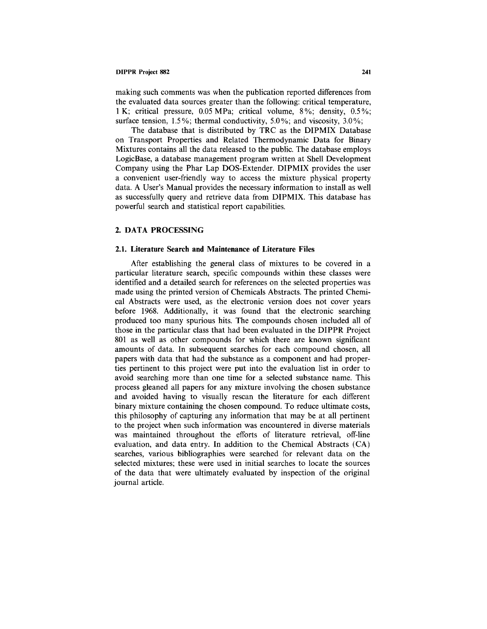making such comments was when the publication reported differences from the evaluated data sources greater than the following: critical temperature, 1K; critical pressure, 0.05 MPa; critical volume, 8%; density, 0.5%; surface tension, 1.5%; thermal conductivity, 5.0%; and viscosity,  $3.0\%$ ;

The database that is distributed by TRC as the DIPMIX Database on Transport Properties and Related Thermodynamic Data for Binary Mixtures contains all the data released to the public. The database employs LogicBase, a database management program written at Shell Development Company using the Phar Lap DOS-Extender. DIPMIX provides the user a convenient user-friendly way to access the mixture physical property data. A User's Manual provides the necessary information to install as well as successfully query and retrieve data from DIPMIX. This database has powerful search and statistical report capabilities.

# **2. DATA PROCESSING**

### **2.1. Literature Search and Maintenance of Literature Files**

After establishing the general class of mixtures to be covered in a particular literature search, specific compounds within these classes were identified and a detailed search for references on the selected properties was made using the printed version of Chemicals Abstracts. The printed Chemical Abstracts were used, as the electronic version does not cover years before 1968. Additionally, it was found that the electronic searching produced too many spurious hits. The compounds chosen included all of those in the particular class that had been evaluated in the DIPPR Project 801 as well as other compounds for which there are known significant amounts of data. In subsequent searches for each compound chosen, all papers with data that had the substance as a component and had properties pertinent to this project were put into the evaluation list in order to avoid searching more than one time for a selected substance name. This process gleaned all papers for any mixture involving the chosen substance and avoided having to visually rescan the literature for each different binary mixture containing the chosen compound. To reduce ultimate costs, this philosophy of capturing any information that may be at all pertinent to the project when such information was encountered in diverse materials was maintained throughout the efforts of literature retrieval, off-line evaluation, and data entry. In addition to the Chemical Abstracts (CA) searches, various bibliographies were searched for relevant data on the selected mixtures; these were used in initial searches to locate the sources of the data that were ultimately evaluated by inspection of the original journal article.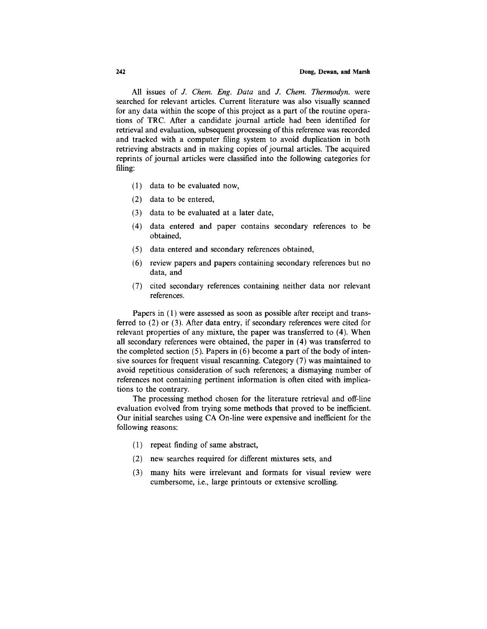All issues of *J. Chem. Eng. Data* and J. *Chem. Thermodyn.* were searched for relevant articles. Current literature was also visually scanned for any data within the scope of this project as a part of the routine operations of TRC. After a candidate journal article had been identified for retrieval and evaluation, subsequent processing of this reference was recorded and tracked with a computer filing system to avoid duplication in both retrieving abstracts and in making copies of journal articles. The acquired reprints of journal articles were classified into the following categories for filing:

- (1) data to be evaluated now,
- (2) data to be entered,
- (3) data to be evaluated at a later date,
- (4) data entered and paper contains secondary references to be obtained,
- (5) data entered and secondary references obtained,
- (6) review papers and papers containing secondary references but no data, and
- (7) cited secondary references containing neither data nor relevant references.

Papers in (1) were assessed as soon as possible after receipt and transferred to (2) or (3). After data entry, if secondary references were cited for relevant properties of any mixture, the paper was transferred to (4). When all secondary references were obtained, the paper in (4) was transferred to the completed section (5). Papers in (6) become a part of the body of intensive sources for frequent visual rescanning. Category (7) was maintained to avoid repetitious consideration of such references; a dismaying number of references not containing pertinent information is often cited with implications to the contrary.

The processing method chosen for the literature retrieval and off-line evaluation evolved from trying some methods that proved to be inefficient. Our initial searches using CA On-line were expensive and inefficient for the following reasons:

- (1) repeat finding of same abstract,
- (2) new searches required for different mixtures sets, and
- (3) many hits were irrelevant and formats for visual review were cumbersome, i.e., large printouts or extensive scrolling.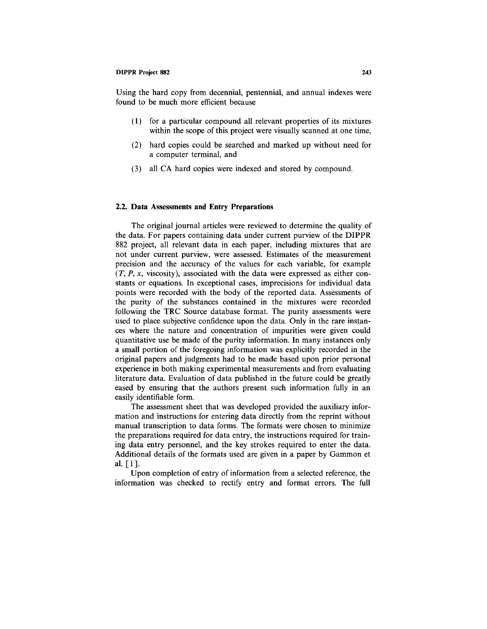Using the hard copy from decennial, pentennial, and annual indexes were found to be much more efficient because

- (1) for a particular compound all relevant properties of its mixtures within the scope of this project were visually scanned at one time,
- (2) hard copies could be searched and marked up without need for a computer terminal, and
- (3) all CA hard copies were indexed and stored by compound.

#### 2.2. **Data Assessments and Entry Preparations**

The original journal articles were reviewed to determine the quality of the data. For papers containing data under current purview of the DIPPR 882 project, all relevant data in each paper, including mixtures that are not under current purview, were assessed. Estimates of the measurement precision and the accuracy of the values for each variable, for example *(T, P, x,* viscosity), associated with the data were expressed as either constants or equations. In exceptional cases, imprecisions for individual data points were recorded with the body of the reported data. Assessments of the purity of the substances contained in the mixtures were recorded following the TRC Source database format. The purity assessments were used to place subjective confidence upon the data. Only in the rare instances where the nature and concentration of impurities were given could quantitative use be made of the purity information. In many instances only a small portion of the foregoing information was explicitly recorded in the original papers and judgments had to be made based upon prior personal experience in both making experimental measurements and from evaluating literature data. Evaluation of data published in the future could be greatly eased by ensuring that the authors present such information fully in an easily identifiable form.

The assessment sheet that was developed provided the auxiliary information and instructions for entering data directly from the reprint without manual transcription to data forms. The formats were chosen to minimize the preparations required for data entry, the instructions required for training data entry personnel, and the key strokes required to enter the data. Additional details of the formats used are given in a paper by Gammon et al. [1].

Upon completion of entry of information from a selected reference, the information was checked to rectify entry and format errors. The full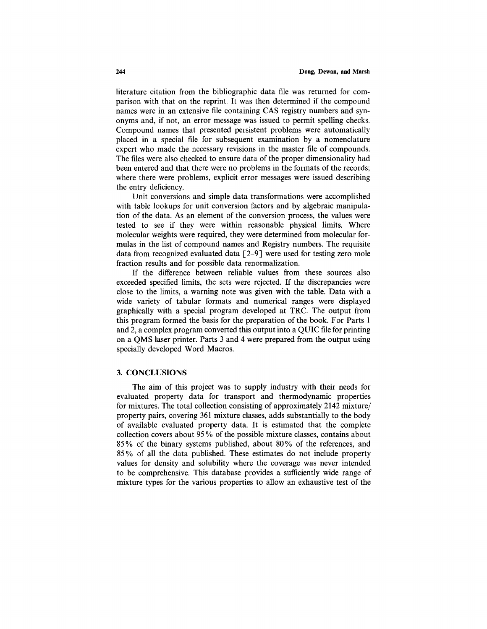literature citation from the bibliographic data file was returned for comparison with that on the reprint. It was then determined if the compound names were in an extensive file containing CAS registry numbers and synonyms and, if not, an error message was issued to permit spelling checks. Compound names that presented persistent problems were automatically placed in a special file for subsequent examination by a nomenclature expert who made the necessary revisions in the master file of compounds. The files were also checked to ensure data of the proper dimensionality had been entered and that there were no problems in the formats of the records; where there were problems, explicit error messages were issued describing the entry deficiency.

Unit conversions and simple data transformations were accomplished with table lookups for unit conversion factors and by algebraic manipulation of the data. As an element of the conversion process, the values were tested to see if they were within reasonable physical limits. Where molecular weights were required, they were determined from molecular formulas in the list of compound names and Registry numbers. The requisite data from recognized evaluated data [2-9] were used for testing zero mole fraction results and for possible data renormalization.

If the difference between reliable values from these sources also exceeded specified limits, the sets were rejected. If the discrepancies were close to the limits, a warning note was given with the table. Data with a wide variety of tabular formats and numerical ranges were displayed graphically with a special program developed at TRC. The output from this program formed the basis for the preparation of the book. For Parts 1 and 2, a complex program converted this output into a QUIC file for printing on a QMS laser printer. Parts 3 and 4 were prepared from the output using specially developed Word Macros.

# **3. CONCLUSIONS**

The aim of this project was to supply industry with their needs for evaluated property data for transport and thermodynamic properties for mixtures. The total collection consisting of approximately 2142 mixture/ property pairs, covering 361 mixture classes, adds substantially to the body of available evaluated property data. It is estimated that the complete collection covers about 95 % of the possible mixture classes, contains about 85 % of the binary systems published, about 80 % of the references, and 85 % of all the data published. These estimates do not include property values for density and solubility where the coverage was never intended to be comprehensive. This database provides a sufficiently wide range of mixture types for the various properties to allow an exhaustive test of the